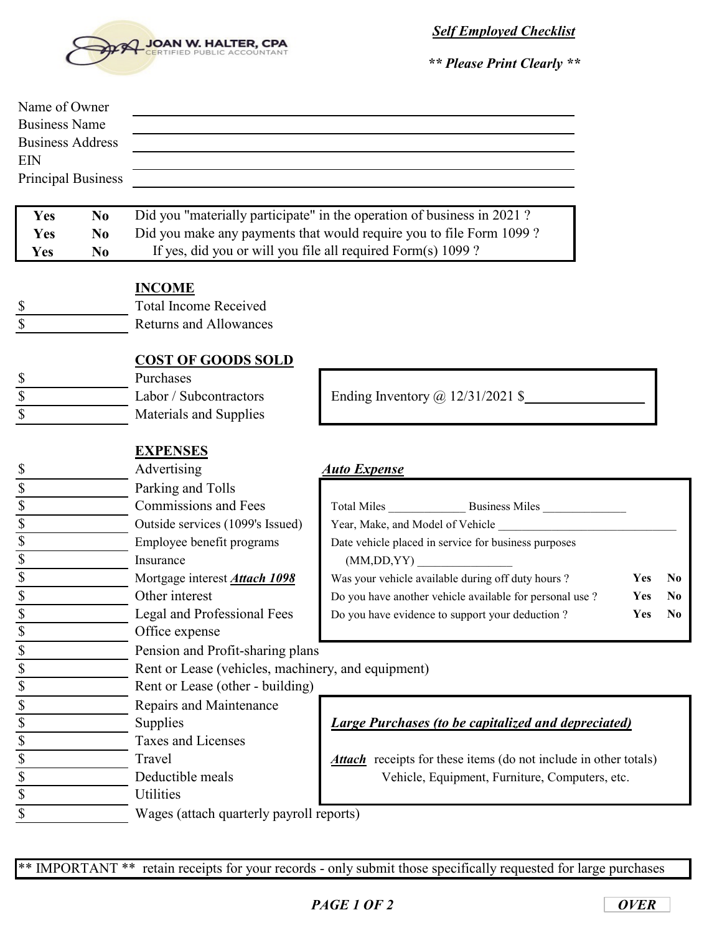

*Self Employed Checklist*

*\*\* Please Print Clearly \*\**

| Name of Owner<br><b>Business Name</b> |                           |                                                              |                                                                               |             |
|---------------------------------------|---------------------------|--------------------------------------------------------------|-------------------------------------------------------------------------------|-------------|
| <b>Business Address</b>               |                           |                                                              |                                                                               |             |
| <b>EIN</b>                            |                           |                                                              |                                                                               |             |
|                                       | <b>Principal Business</b> |                                                              |                                                                               |             |
| Yes                                   | N <sub>0</sub>            |                                                              | Did you "materially participate" in the operation of business in 2021?        |             |
| Yes                                   | N <sub>0</sub>            |                                                              | Did you make any payments that would require you to file Form 1099?           |             |
| Yes                                   | N <sub>0</sub>            | If yes, did you or will you file all required Form(s) 1099 ? |                                                                               |             |
|                                       |                           |                                                              |                                                                               |             |
|                                       |                           | <b>INCOME</b>                                                |                                                                               |             |
| \$                                    |                           | <b>Total Income Received</b>                                 |                                                                               |             |
|                                       |                           | <b>Returns and Allowances</b>                                |                                                                               |             |
|                                       |                           |                                                              |                                                                               |             |
|                                       |                           | <b>COST OF GOODS SOLD</b>                                    |                                                                               |             |
| \$                                    |                           | Purchases                                                    |                                                                               |             |
| \$                                    |                           | Labor / Subcontractors                                       | Ending Inventory $\omega$ 12/31/2021 \$                                       |             |
|                                       |                           | Materials and Supplies                                       |                                                                               |             |
|                                       |                           |                                                              |                                                                               |             |
|                                       |                           | <b>EXPENSES</b>                                              |                                                                               |             |
| \$                                    |                           | Advertising                                                  | <b>Auto Expense</b>                                                           |             |
| $rac{1}{3}$                           |                           | Parking and Tolls                                            |                                                                               |             |
|                                       |                           | <b>Commissions and Fees</b>                                  |                                                                               |             |
| $rac{1}{3}$                           |                           | Outside services (1099's Issued)                             | Year, Make, and Model of Vehicle                                              |             |
| $\boldsymbol{\mathsf{S}}$             |                           | Employee benefit programs<br>Insurance                       | Date vehicle placed in service for business purposes                          |             |
| \$                                    |                           | Mortgage interest <b>Attach 1098</b>                         | (MM,DD,YY)<br>Was your vehicle available during off duty hours?<br><b>Yes</b> | $\mathbf N$ |
|                                       |                           | Other interest                                               | Do you have another vehicle available for personal use ?<br>Yes               | N           |
| $rac{1}{s}$                           |                           | Legal and Professional Fees                                  | Do you have evidence to support your deduction?<br>Yes                        | N           |
| \$                                    |                           | Office expense                                               |                                                                               |             |
| \$                                    |                           | Pension and Profit-sharing plans                             |                                                                               |             |
| \$                                    |                           | Rent or Lease (vehicles, machinery, and equipment)           |                                                                               |             |
| \$                                    |                           | Rent or Lease (other - building)                             |                                                                               |             |
| \$                                    |                           | Repairs and Maintenance                                      |                                                                               |             |
| \$                                    |                           | Supplies                                                     | <b>Large Purchases (to be capitalized and depreciated)</b>                    |             |
| $\overline{\$}$                       |                           | <b>Taxes and Licenses</b>                                    |                                                                               |             |
| \$                                    |                           | Travel                                                       | <b>Attach</b> receipts for these items (do not include in other totals)       |             |
| \$                                    |                           | Deductible meals                                             | Vehicle, Equipment, Furniture, Computers, etc.                                |             |
| $\overline{\$}$                       |                           | Utilities                                                    |                                                                               |             |
| \$                                    |                           | Wages (attach quarterly payroll reports)                     |                                                                               |             |
|                                       |                           |                                                              |                                                                               |             |

\*\* IMPORTANT \*\* retain receipts for your records - only submit those specifically requested for large purchases

**Yes No Yes No Yes No**